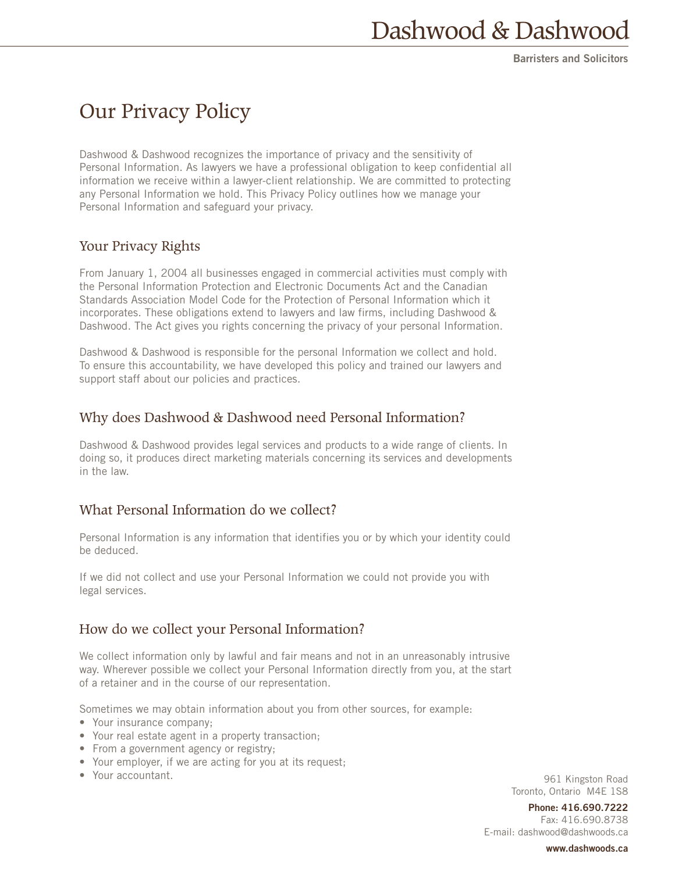# Our Privacy Policy

Dashwood & Dashwood recognizes the importance of privacy and the sensitivity of Personal Information. As lawyers we have a professional obligation to keep confidential all information we receive within a lawyer-client relationship. We are committed to protecting any Personal Information we hold. This Privacy Policy outlines how we manage your Personal Information and safeguard your privacy.

# Your Privacy Rights

From January 1, 2004 all businesses engaged in commercial activities must comply with the Personal Information Protection and Electronic Documents Act and the Canadian Standards Association Model Code for the Protection of Personal Information which it incorporates. These obligations extend to lawyers and law firms, including Dashwood & Dashwood. The Act gives you rights concerning the privacy of your personal Information.

Dashwood & Dashwood is responsible for the personal Information we collect and hold. To ensure this accountability, we have developed this policy and trained our lawyers and support staff about our policies and practices.

# Why does Dashwood & Dashwood need Personal Information?

Dashwood & Dashwood provides legal services and products to a wide range of clients. In doing so, it produces direct marketing materials concerning its services and developments in the law.

# What Personal Information do we collect?

Personal Information is any information that identifies you or by which your identity could be deduced.

If we did not collect and use your Personal Information we could not provide you with legal services.

# How do we collect your Personal Information?

We collect information only by lawful and fair means and not in an unreasonably intrusive way. Wherever possible we collect your Personal Information directly from you, at the start of a retainer and in the course of our representation.

Sometimes we may obtain information about you from other sources, for example:

- Your insurance company;
- Your real estate agent in a property transaction;
- From a government agency or registry;
- Your employer, if we are acting for you at its request;
- Your accountant.

961 Kingston Road Toronto, Ontario M4E 1S8

**Phone: 416.690.7222** Fax: 416.690.8738 E-mail: dashwood@dashwoods.ca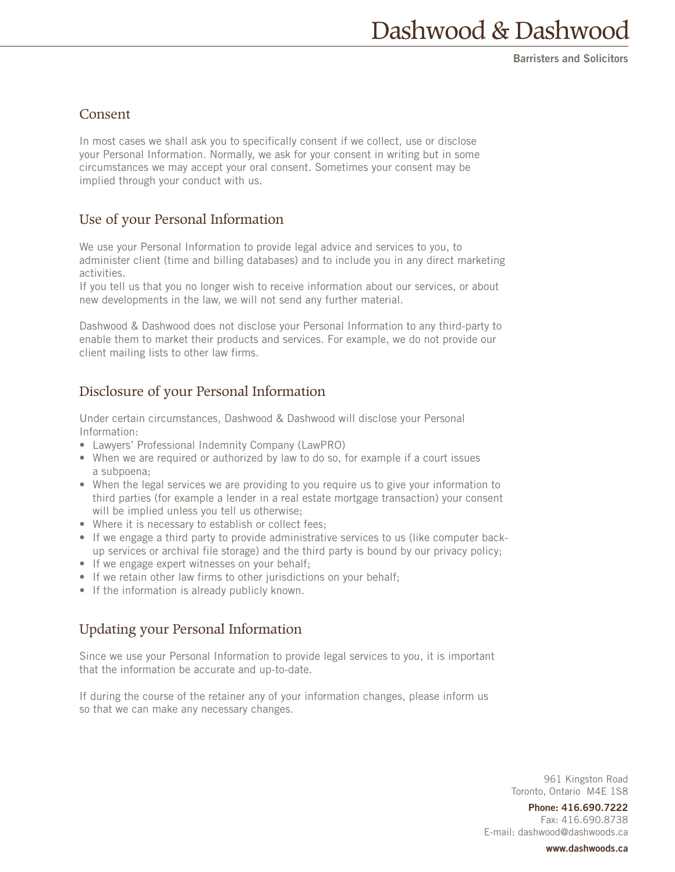#### Consent

In most cases we shall ask you to specifically consent if we collect, use or disclose your Personal Information. Normally, we ask for your consent in writing but in some circumstances we may accept your oral consent. Sometimes your consent may be implied through your conduct with us.

## Use of your Personal Information

We use your Personal Information to provide legal advice and services to you, to administer client (time and billing databases) and to include you in any direct marketing activities.

If you tell us that you no longer wish to receive information about our services, or about new developments in the law, we will not send any further material.

Dashwood & Dashwood does not disclose your Personal Information to any third-party to enable them to market their products and services. For example, we do not provide our client mailing lists to other law firms.

# Disclosure of your Personal Information

Under certain circumstances, Dashwood & Dashwood will disclose your Personal Information:

- Lawyers' Professional Indemnity Company (LawPRO)
- When we are required or authorized by law to do so, for example if a court issues a subpoena;
- When the legal services we are providing to you require us to give your information to third parties (for example a lender in a real estate mortgage transaction) your consent will be implied unless you tell us otherwise;
- Where it is necessary to establish or collect fees;
- If we engage a third party to provide administrative services to us (like computer backup services or archival file storage) and the third party is bound by our privacy policy;
- If we engage expert witnesses on your behalf;
- If we retain other law firms to other jurisdictions on your behalf;
- If the information is already publicly known.

# Updating your Personal Information

Since we use your Personal Information to provide legal services to you, it is important that the information be accurate and up-to-date.

If during the course of the retainer any of your information changes, please inform us so that we can make any necessary changes.

> 961 Kingston Road Toronto, Ontario M4E 1S8

**Phone: 416.690.7222** Fax: 416.690.8738 E-mail: dashwood@dashwoods.ca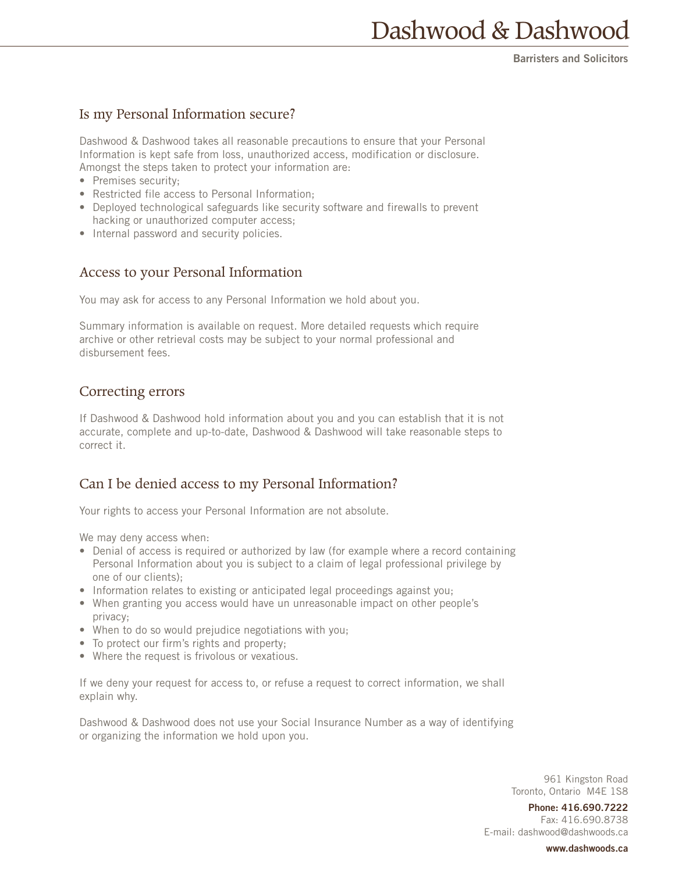## Is my Personal Information secure?

Dashwood & Dashwood takes all reasonable precautions to ensure that your Personal Information is kept safe from loss, unauthorized access, modification or disclosure. Amongst the steps taken to protect your information are:

- Premises security;
- Restricted file access to Personal Information;
- Deployed technological safeguards like security software and firewalls to prevent hacking or unauthorized computer access;
- Internal password and security policies.

#### Access to your Personal Information

You may ask for access to any Personal Information we hold about you.

Summary information is available on request. More detailed requests which require archive or other retrieval costs may be subject to your normal professional and disbursement fees.

#### Correcting errors

If Dashwood & Dashwood hold information about you and you can establish that it is not accurate, complete and up-to-date, Dashwood & Dashwood will take reasonable steps to correct it.

## Can I be denied access to my Personal Information?

Your rights to access your Personal Information are not absolute.

We may deny access when:

- Denial of access is required or authorized by law (for example where a record containing Personal Information about you is subject to a claim of legal professional privilege by one of our clients);
- Information relates to existing or anticipated legal proceedings against you;
- When granting you access would have un unreasonable impact on other people's privacy;
- When to do so would prejudice negotiations with you;
- To protect our firm's rights and property;
- Where the request is frivolous or vexatious.

If we deny your request for access to, or refuse a request to correct information, we shall explain why.

Dashwood & Dashwood does not use your Social Insurance Number as a way of identifying or organizing the information we hold upon you.

> 961 Kingston Road Toronto, Ontario M4E 1S8

**Phone: 416.690.7222** Fax: 416.690.8738 E-mail: dashwood@dashwoods.ca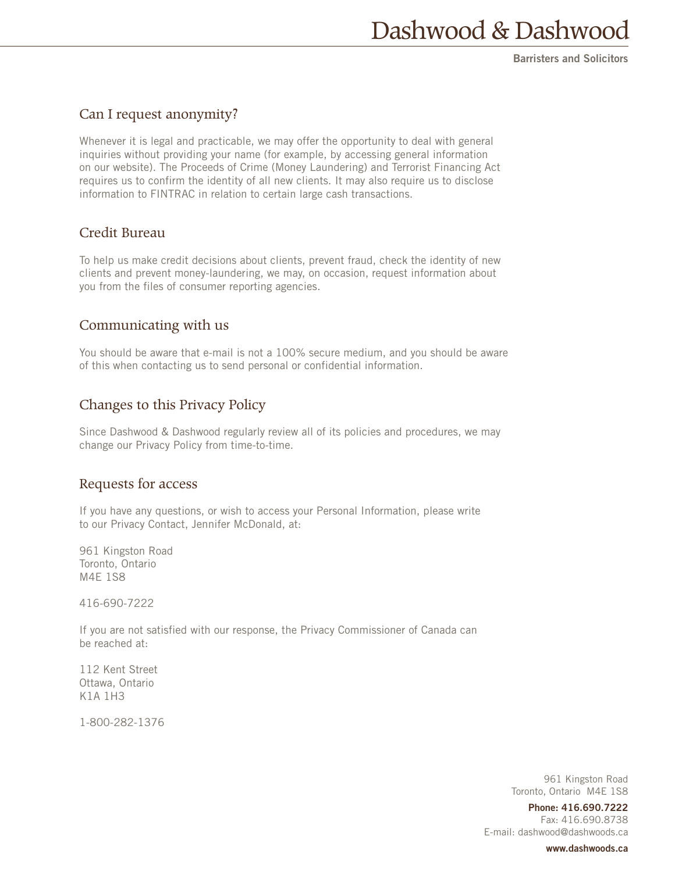## Can I request anonymity?

Whenever it is legal and practicable, we may offer the opportunity to deal with general inquiries without providing your name (for example, by accessing general information on our website). The Proceeds of Crime (Money Laundering) and Terrorist Financing Act requires us to confirm the identity of all new clients. It may also require us to disclose information to FINTRAC in relation to certain large cash transactions.

#### Credit Bureau

To help us make credit decisions about clients, prevent fraud, check the identity of new clients and prevent money-laundering, we may, on occasion, request information about you from the files of consumer reporting agencies.

#### Communicating with us

You should be aware that e-mail is not a 100% secure medium, and you should be aware of this when contacting us to send personal or confidential information.

# Changes to this Privacy Policy

Since Dashwood & Dashwood regularly review all of its policies and procedures, we may change our Privacy Policy from time-to-time.

#### Requests for access

If you have any questions, or wish to access your Personal Information, please write to our Privacy Contact, Jennifer McDonald, at:

961 Kingston Road Toronto, Ontario M4E 1S8

416-690-7222

If you are not satisfied with our response, the Privacy Commissioner of Canada can be reached at:

112 Kent Street Ottawa, Ontario K1A 1H3

1-800-282-1376

961 Kingston Road Toronto, Ontario M4E 1S8

**Phone: 416.690.7222** Fax: 416.690.8738 E-mail: dashwood@dashwoods.ca